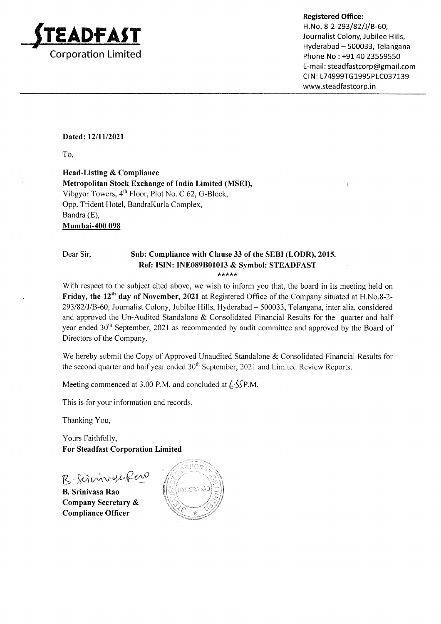

H. No. 8-2-293/82/J/B-60, Journalist Colony, Jubilee Hills, Hyderabad - 500033, Telangana Phone No : +91 40 23559550 E-mail : steadfastcorp@gmail.com CIN: L74999TG1995PLC037139 www.steadfastcorp.in

#### Dated: 12/11/2021

To,

Head-Listing & Compliance Metropolitan Stock Exchange of India Limited (MSEI), Vibgyor Towers, 4'h Floor, Plot No. C 62, G-Block, Opp. Trident Hotel, BandraKurla Complex, Bandra (E), Mumbai-400 098

#### Dear Sir, Sub: Compliance with Clause 33 of the SEBI (LODR), 2015. Ref: ISIN: INE089B0f013 & Symbol: STEADFAST

\*\*\*\*\*

With respect to the subject cited above, we wish to inform you that, the board in its meeting held on Friday, the 12<sup>th</sup> day of November, 2021 at Registered Office of the Company situated at H.No.8-2-293/82/J/B-60, Journalist Colony, Jubilee Hills, Hyderabad - 500033, Telangana, inter alia, considered and approved the Un-Audited Standalone & Consolidated Financial Results for the quarter and half year ended 30<sup>th</sup> September, 2021 as recommended by audit committee and approved by the Board of Directors of the Company.

We hereby submit the Copy of Approved Unaudited Standalone & Consolidated Financial Results for the second quarter and half year ended 30<sup>th</sup> September, 2021 and Limited Review Reports.

Meeting commenced at 3.00 P.M. and concluded at  $\frac{\xi}{\zeta}$ .  $\frac{\xi}{\zeta}$ P.M.

This is for your information and records

Thanking You,

Yours Faithfully, For Steadfast Corporation Limited

B. Simmonlew

B. Srinivasa Rao Company Secretary & Compliance Officer

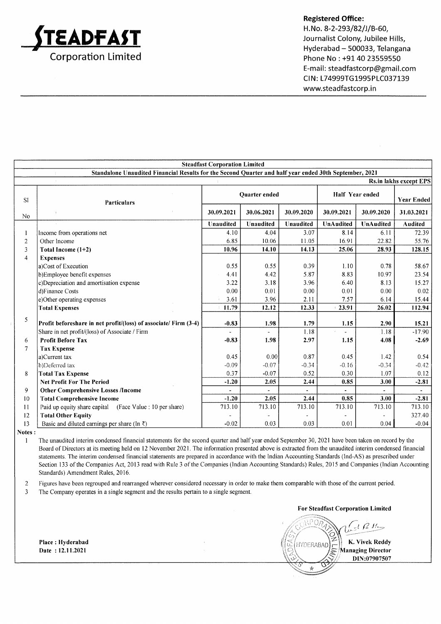

H.No. 8-2-293/82/J/B-60, Journalist Colony, Jubilee Hills, Hyderabad - 500033, Telangana Phone No : +91 40 23559550 E-mail : steadfastcorp@gmail.com CIN: L74999TG1995PLC037139 www.steadfastcorp. in

|                | <b>Steadfast Corporation Limited</b>                                                                   |                |                      |                       |                 |                      |                               |  |
|----------------|--------------------------------------------------------------------------------------------------------|----------------|----------------------|-----------------------|-----------------|----------------------|-------------------------------|--|
|                | Standalone Unaudited Financial Results for the Second Quarter and half year ended 30th September, 2021 |                |                      |                       |                 |                      |                               |  |
|                |                                                                                                        |                |                      |                       |                 |                      | <b>Rs.in lakhs except EPS</b> |  |
| SI             | <b>Particulars</b>                                                                                     |                | <b>Quarter</b> ended |                       | Half Year ended |                      | <b>Year Ended</b>             |  |
| No             | ÷                                                                                                      | 30.09.2021     | 30.06.2021           | 30.09.2020            | 30.09.2021      | 30.09.2020           | 31.03.2021                    |  |
|                |                                                                                                        | Unaudited      | Unaudited            | Unaudited             | UnAudited       | <b>UnAudited</b>     | Audited                       |  |
|                | Income from operations net                                                                             | 4.10           | 4.04                 | 3.07                  | 8.14            | 6.11                 | 72.39                         |  |
| 2              | Other Income                                                                                           | 6.85           | 10.06                | 11.05                 | 16.91           | 22.82                | 55.76                         |  |
| 3              | Total Income (1+2)                                                                                     | 10.96          | 14.10                | 14.13                 | 25.06           | 28.93                | 128.15                        |  |
| 4              | <b>Expenses</b>                                                                                        |                |                      |                       |                 |                      |                               |  |
|                | a)Cost of Execution                                                                                    | 0.55           | 0.55                 | 0.39                  | 1.10            | 0.78                 | 58.67                         |  |
|                | b)Employee benefit expenses                                                                            | 4.41           | 4.42                 | 5.87                  | 8.83            | 10.97                | 23.54                         |  |
|                | c)Depreciation and amortisation expense                                                                | 3.22           | 3.18                 | 3.96                  | 6.40            | 8.13                 | 15.27                         |  |
|                | d)Finance Costs                                                                                        | 0.00           | 0.01                 | 0.00                  | 0.01            | 0.00                 | 0.02                          |  |
|                | e)Other operating expenses                                                                             | 3.61           | 3.96                 | 2.11                  | 7.57            | 6.14                 | 15.44                         |  |
|                | <b>Total Expenses</b>                                                                                  | 11.79          | 12.12                | 12.33                 | 23.91           | 26.02                | 112.94                        |  |
| 5              |                                                                                                        |                |                      |                       |                 |                      |                               |  |
|                | Profit beforeshare in net profit/(loss) of associate/ Firm (3-4)                                       | $-0.83$        | 1.98                 | 1.79                  | 1.15            | 2.90                 | 15.21                         |  |
|                | Share in net profit/(loss) of Associate / Firm                                                         |                |                      | 1.18                  |                 | 1.18                 | $-17.90$                      |  |
| 6              | <b>Profit Before Tax</b>                                                                               | $-0.83$        | 1.98                 | 2.97                  | 1.15            | 4.08                 | $-2.69$                       |  |
| $\overline{7}$ | <b>Tax Expense</b>                                                                                     |                |                      |                       |                 |                      |                               |  |
|                | a)Current tax                                                                                          | 0.45           | 0.00                 | 0.87                  | 0.45            | 1.42                 | 0.54                          |  |
|                | b)Deferred tax                                                                                         | $-0.09$        | $-0.07$              | $-0.34$               | $-0.16$         | $-0.34$              | $-0.42$                       |  |
| 8              | <b>Total Tax Expense</b>                                                                               | 0.37           | $-0.07$              | 0.52                  | 0.30            | 1.07                 | 0.12                          |  |
|                | <b>Net Profit For The Period</b>                                                                       | $-1.20$        | 2.05                 | 2.44                  | 0.85            | 3.00                 | $-2.81$                       |  |
| 9              | <b>Other Comprehensive Losses /Income</b>                                                              | $\blacksquare$ |                      | $\tilde{\phantom{a}}$ |                 | $\ddot{\phantom{1}}$ |                               |  |
| 10             | <b>Total Comprehensive Income</b>                                                                      | $-1.20$        | 2.05                 | 2.44                  | 0.85            | 3.00                 | $-2.81$                       |  |
| $\mathbf{1}$   | Paid up equity share capital (Face Value : 10 per share)                                               | 713.10         | 713.10               | 713.10                | 713.10          | 713.10               | 713.10                        |  |
| 12             | <b>Total Other Equity</b>                                                                              |                |                      |                       |                 |                      | 327.40                        |  |
| 13             | Basic and diluted earnings per share (In $\bar{x}$ )                                                   | $-0.02$        | 0.03                 | 0.03                  | 0.01            | 0.04                 | $-0.04$                       |  |

Notes :

I The unaudited interim condensed financial statements for the second quarter and half year ended September 30, 2021 have been taken on record by the Board of Directors at its meeting held on l2 November 2021 . The information presented above is extracted from the unaudited interim condensed financial statements. The interim condensed financial statements are prepared in accordance with the Indian Accounting Standards (lnd-AS) as prescribed under Section 133 of the Companies Act, 2013 read with Rule 3 of the Companies (Indian Accounting Standards) Rules, 2015 and Companies (Indian Accounting Standards) Amendment Rules, 2016.

Figures have been regrouped and rearranged wherever considered necessary in order to make them comparable with those of the current period. 2

The Company operates in a single segment and the results pertain to a single segment. J

For Steadfast Corporation Limited

r)  $LRAN$  of  $-1RH$ Li K. Vivek Reddy DIN:07907507 **HYDERABAD** Managing Director

Place Hyderabad Date 12.11.2021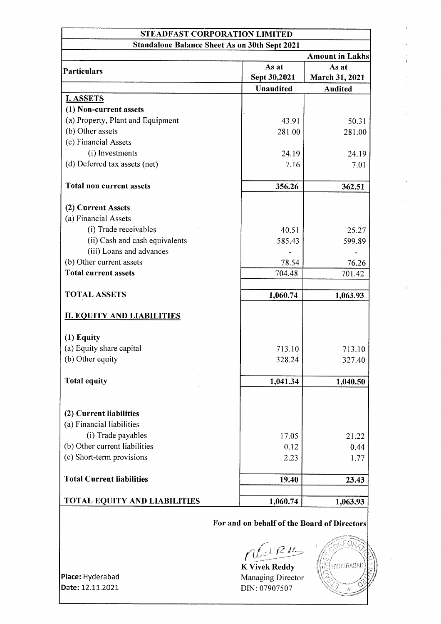## STEADFAST CORPORATION LIMITED Standalone Balance Sheet As on 30th 2021

|                                     |                  | <b>Amount in Lakhs</b> |  |
|-------------------------------------|------------------|------------------------|--|
| Particulars                         | As at            | As at                  |  |
|                                     | Sept 30,2021     | March 31, 2021         |  |
|                                     | <b>Unaudited</b> | <b>Audited</b>         |  |
| <b>I. ASSETS</b>                    |                  |                        |  |
| (1) Non-current assets              |                  |                        |  |
| (a) Property, Plant and Equipment   | 43.91            | 50.31                  |  |
| (b) Other assets                    | 281.00           | 281.00                 |  |
| (c) Financial Assets                |                  |                        |  |
| (i) Investments                     | 24.19            | 24.19                  |  |
| (d) Deferred tax assets (net)       | 7.16             | 7.01                   |  |
| <b>Total non current assets</b>     | 356.26           | 362.51                 |  |
| (2) Current Assets                  |                  |                        |  |
| (a) Financial Assets                |                  |                        |  |
| (i) Trade receivables               | 40.51            | 25.27                  |  |
| (ii) Cash and cash equivalents      | 585.43           | 599.89                 |  |
| (iii) Loans and advances            |                  |                        |  |
| (b) Other current assets            | 78.54            | 76.26                  |  |
| <b>Total current assets</b>         | 704.48           | 701.42                 |  |
|                                     |                  |                        |  |
| <b>TOTAL ASSETS</b>                 | 1,060.74         | 1,063.93               |  |
| <b>II. EQUITY AND LIABILITIES</b>   |                  |                        |  |
| $(1)$ Equity                        |                  |                        |  |
| (a) Equity share capital            | 713.10           | 713.10                 |  |
| (b) Other equity                    | 328.24           | 327.40                 |  |
| <b>Total equity</b>                 | 1,041.34         | 1,040.50               |  |
|                                     |                  |                        |  |
| (2) Current liabilities             |                  |                        |  |
| (a) Financial liabilities           |                  |                        |  |
| (i) Trade payables                  | 17.05            | 21.22                  |  |
| (b) Other current liabilities       | 0.12             | 0.44                   |  |
| (c) Short-term provisions           | 2.23             | 1.77                   |  |
| <b>Total Current liabilities</b>    | 19.40            | 23.43                  |  |
|                                     |                  |                        |  |
| <b>TOTAL EQUITY AND LIABILITIES</b> | 1,060.74         | 1,063.93               |  |

## For and on behalf of the Board of Directors

 $n t^{1}$ 

K Vivek Reddy Managing Director DIN: 07907507



Place: Hyderabad Date: 12.11.2021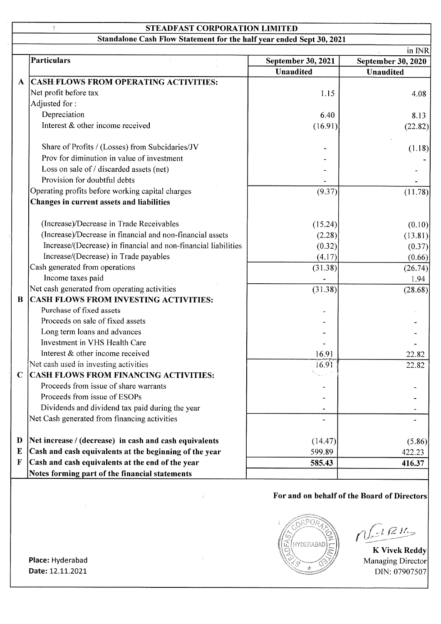## STEADFAST CORPORATION LIMITED

Standalone Cash Flow Statement for the half year ended Sept 30, 2021

|              |                                                                |                    | in INR                    |
|--------------|----------------------------------------------------------------|--------------------|---------------------------|
|              | <b>Particulars</b>                                             | September 30, 2021 | <b>September 30, 2020</b> |
|              |                                                                | <b>Unaudited</b>   | <b>Unaudited</b>          |
| $\mathbf{A}$ | <b>CASH FLOWS FROM OPERATING ACTIVITIES:</b>                   |                    |                           |
|              | Net profit before tax                                          | 1.15               | 4.08                      |
|              | Adjusted for:                                                  |                    |                           |
|              | Depreciation                                                   | 6.40               | 8.13                      |
|              | Interest & other income received                               | (16.91)            | (22.82)                   |
|              | Share of Profits / (Losses) from Subcidaries/JV                |                    | (1.18)                    |
|              | Prov for diminution in value of investment                     |                    |                           |
|              | Loss on sale of / discarded assets (net)                       |                    |                           |
|              | Provision for doubtful debts                                   |                    |                           |
|              | Operating profits before working capital charges               | (9.37)             | (11.78)                   |
|              | Changes in current assets and liabilities                      |                    |                           |
|              | (Increase)/Decrease in Trade Receivables                       | (15.24)            | (0.10)                    |
|              | (Increase)/Decrease in financial and non-financial assets      | (2.28)             | (13.81)                   |
|              | Increase/(Decrease) in financial and non-financial liabilities | (0.32)             | (0.37)                    |
|              | Increase/(Decrease) in Trade payables                          | (4.17)             | (0.66)                    |
|              | Cash generated from operations                                 | (31.38)            | (26.74)                   |
|              | Income taxes paid                                              |                    | 1.94                      |
|              | Net cash generated from operating activities                   | (31.38)            | (28.68)                   |
| $\bf{B}$     | CASH FLOWS FROM INVESTING ACTIVITIES:                          |                    |                           |
|              | Purchase of fixed assets                                       |                    |                           |
|              | Proceeds on sale of fixed assets                               |                    |                           |
|              | Long term loans and advances                                   |                    |                           |
|              | Investment in VHS Health Care                                  |                    |                           |
|              | Interest & other income received                               | 16.91              | 22.82                     |
|              | Net cash used in investing activities                          | 16.91              | 22.82                     |
| $\mathbf C$  | <b>CASH FLOWS FROM FINANCING ACTIVITIES:</b>                   |                    |                           |
|              | Proceeds from issue of share warrants                          |                    |                           |
|              | Proceeds from issue of ESOPs                                   |                    |                           |
|              | Dividends and dividend tax paid during the year                |                    |                           |
|              | Net Cash generated from financing activities                   |                    |                           |
| D            | Net increase / (decrease) in cash and cash equivalents         | (14.47)            | (5.86)                    |
| E            | Cash and cash equivalents at the beginning of the year         | 599.89             | 422.23                    |
| F            | Cash and cash equivalents at the end of the year               | 585.43             | 416.37                    |
|              | Notes forming part of the financial statements                 |                    |                           |

## For and on behalf of the Board of Directors



 $\mathcal{L}$   $\mathcal{R}$   $\mathcal{H}_\Rightarrow$ 

K Vivek Reddy Managing Director DIN: 07907507

Date: 12.11.2021 Place: Hyderabad

 $\overline{1}$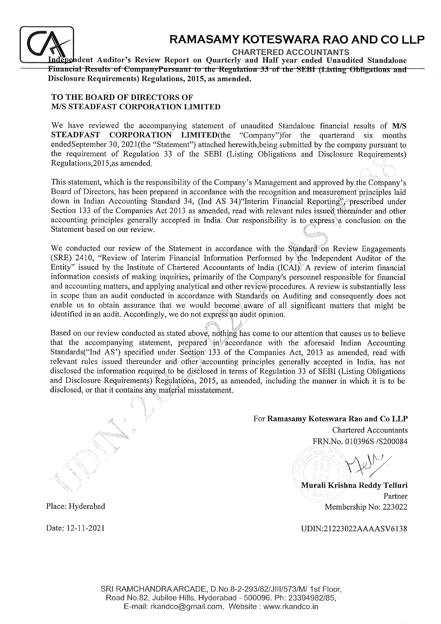

# RAMASAMY KOTESWARA RAO AND CO LLP

CHARTERED ACCOUNTANTS

Independent Auditor's Review Report on Quarterly and Half year ended Unaudited Standalone<br>Financial Results of CompanyPursuant to the Regulation 33 of the SEBI (Listing Obligations and Disclosure Requirements) Regulations, 2015, as amended.

#### TO THE BOARD OF DIRECTORS OF M/S STEADFAST CORPORATION LIMITED

We have reviewed the accompanying statement of unaudited Standalone financial results of M/S STEADFAST CORPORATION LIMITED(the "Company")for the quarterand six months endedSeptember 30, 2021(the "Statement") attached herewith,being submitted by the company pursuant to the requirement of Regulation 33 of the SEBI (Listing Obligations and Disclosure Requirements) Regulations, 2015, as amended.

This statement, which is the responsibility of the Company's Management and approved by.the Corhpany's Board of Directors, has been prepared in accordance with the recognition and measurement principles laid down in Indian Accounting Standard 34, (Ind AS 34) Interim Financial Reporting'; prescribed under Section 133 of the Companies Act 2013 as amended, read with relevant rules issued thereunder and other accounting principles generally accepted in India. Our responsibility is to express a conclusion on the Statement based on our review.

We conducted our review of the Statement in accordance with the Standard on Review Engagements (SRE) 2410, "Review of Interim Financial Information Performed by the Independent Auditor of the Entity" issued by the Institute of Chartered Accountants of India (ICAI). A review of interim financial information consists of making inquiries, primarily of the Company's personnel responsible for financial and accounting matters, and applying analytical and other review procedures. A review is substantially less In scope than an audit conducted in accordance with Standards on Auditing and consequently does not enable us to obtain assurance that we would become aware of all significant matters that might be identified in an audit. Accordingly, we do not express an audit opinion.

Based on our review conducted as stated above, nothing has come to our attention that causes us to believe that the accompanying statement, prepared in accordance with the aforesaid Indian Accounting Standards("Ind AS') specified under Section 133 of the Companies Act, 2013 as amended, read with relevant rules issued thereunder and other accounting principles generally accepted in India, has not disclosed the information required to be disclosed in terms of Regulation 33 of SEBI (Listing Obligations and Disclosure Requirements) Regulations, 2015, as amended, including the manner in which it is to be disclosed, or that it contains any material misstatement.

i

## For Ramasamy Koteswara Rao and Co LLP

Chartered Accountants FRN.No. 010396S /S200084

Murali Krishna Reddy Telluri Partner Membership No:223022

UDIN:21223022AAAASV6138

Place: Hyderabad

Date: 12-11-2021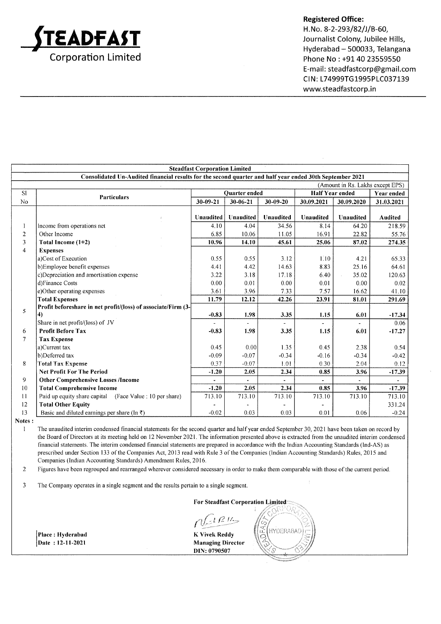

H. No. 8-2-293/82/J/B-60, Journalist Colony, Jubilee Hills, Hyderabad - 500033, Telangana Phone No : +91 40 23559550 E-mail: steadfastcorp@gmail.com CIN: L74999TG1995PLC037139 www.steadfastcorp.in

|                                                                                                          | <b>Steadfast Corporation Limited</b>                          |                |                |                        |                |                                  |                |
|----------------------------------------------------------------------------------------------------------|---------------------------------------------------------------|----------------|----------------|------------------------|----------------|----------------------------------|----------------|
| Consolidated Un-Audited financial results for the second quarter and half year ended 30th September 2021 |                                                               |                |                |                        |                |                                  |                |
|                                                                                                          |                                                               |                |                |                        |                | (Amount in Rs. Lakhs except EPS) |                |
| S1                                                                                                       | <b>Particulars</b>                                            | Quarter ended  |                | <b>Half Year ended</b> |                | <b>Year ended</b>                |                |
| No                                                                                                       |                                                               | 30-09-21       | 30-06-21       | $30 - 09 - 20$         | 30.09.2021     | 30.09.2020                       | 31.03.2021     |
|                                                                                                          |                                                               | Unaudited      | Unaudited      | <b>Unaudited</b>       | Unaudited      | Unaudited                        | <b>Audited</b> |
|                                                                                                          | Income from operations net                                    | 4.10           | 4.04           | 34.56                  | 8.14           | 64.20                            | 218.59         |
| $\overline{2}$                                                                                           | Other Income                                                  | 6.85           | 10.06          | 11.05                  | 16.91          | 22.82                            | 55.76          |
| 3                                                                                                        | Total Income (1+2)                                            | 10.96          | 14.10          | 45.61                  | 25.06          | 87.02                            | 274.35         |
| $\overline{4}$                                                                                           | <b>Expenses</b>                                               |                |                |                        |                |                                  |                |
|                                                                                                          | a)Cost of Execution                                           | 0.55           | 0.55           | 3.12                   | 1:10           | 4.21                             | 65.33          |
|                                                                                                          | b)Employee benefit expenses                                   | 4.41           | 4.42           | 14.63                  | 8.83           | 25.16                            | 64.61          |
|                                                                                                          | c)Depreciation and amortisation expense                       | 3.22           | 3.18           | 17.18                  | 6.40           | 35.02                            | 120.63         |
|                                                                                                          | d)Finance Costs                                               | 0.00           | 0.01           | 0.00                   | 0:01           | 0.00                             | 0.02           |
|                                                                                                          | e)Other operating expenses                                    | 3.61           | 3.96           | 7.33                   | 7:57           | 16.62                            | 41.10          |
|                                                                                                          | <b>Total Expenses</b>                                         | 11.79          | 12.12          | 42.26                  | 23.91          | 81.01                            | 291.69         |
| 5                                                                                                        | Profit beforeshare in net profit/(loss) of associate/Firm (3- |                |                |                        |                |                                  |                |
|                                                                                                          | 4)                                                            | $-0.83$        | 1.98           | 3.35                   | 1.15           | 6.01                             | $-17.34$       |
|                                                                                                          | Share in net profit/(loss) of JV                              | $\blacksquare$ | $\blacksquare$ | ٠                      | $\blacksquare$ | ٠                                | 0.06           |
| 6                                                                                                        | <b>Profit Before Tax</b>                                      | $-0.83$        | 1.98           | 3.35                   | 1.15           | 6.01                             | $-17.27$       |
| $\mathcal{I}$                                                                                            | <b>Tax Expense</b>                                            |                |                |                        |                |                                  |                |
|                                                                                                          | a)Current tax                                                 | 0.45           | 0.00           | 1.35                   | 0.45           | 2.38                             | 0.54           |
|                                                                                                          | b)Deferred tax                                                | $-0.09$        | $-0.07$        | $-0.34$                | $-0.16$        | $-0.34$                          | $-0.42$        |
| 8                                                                                                        | <b>Total Tax Expense</b>                                      | 0.37           | $-0.07$        | 1.01                   | 0.30           | 2.04                             | 0.12           |
|                                                                                                          | <b>Net Profit For The Period</b>                              | $-1.20$        | 2.05           | 2.34                   | 0.85           | 3.96                             | $-17.39$       |
| 9                                                                                                        | <b>Other Comprehensive Losses /Income</b>                     |                |                |                        |                |                                  |                |
| 10                                                                                                       | <b>Total Comprehensive Income</b>                             | $-1.20$        | 2.05           | 2.34                   | 0.85           | 3.96                             | $-17.39$       |
| $\mathbf{1}$                                                                                             | Paid up equity share capital (Face Value : 10 per share)      | 713.10         | 713.10         | 713.10                 | 713.10         | 713.10                           | 713.10         |
| 12                                                                                                       | <b>Total Other Equity</b>                                     |                |                |                        |                |                                  | 331.24         |
| 13                                                                                                       | Basic and diluted earnings per share (In $\bar{z}$ )          | $-0.02$        | 0.03           | 0.03                   | 0.01           | 0.06                             | $-0.24$        |

Notes :

Place : Hyderabad Date : l2-ll-2021

I The unaudited interim condensed financial statements for the second quarter and halfyear ended September 30, 2021 have been taken on record by the Board of Directors at its meeting held on 12 November 2021. The information presented above is extracted from the unaudited interim condensed financial statements. The interim condensed financial statements are prepared in accordance with the Indian Accounting Standards (Ind-AS) as prescribed under Section 133 of the Companies Act, 2013 read with Rule 3 of the Companies (Indian Accounting Standards) Rules, 2015 and Companies (Indian Accounting Standards) Amendment Rules, 2016.

Figures have been regrouped and rearranged wherever considered necessary in order to make them comparable with those of the current period. 2

3 The Company operates in a single segment and the results pertain to a single segment.

For Steadfast Corporation I

 $LRH_{\infty}$ 

K Vivek Reddy Managing Director DIN: 0790507

**HYDERABAD** t-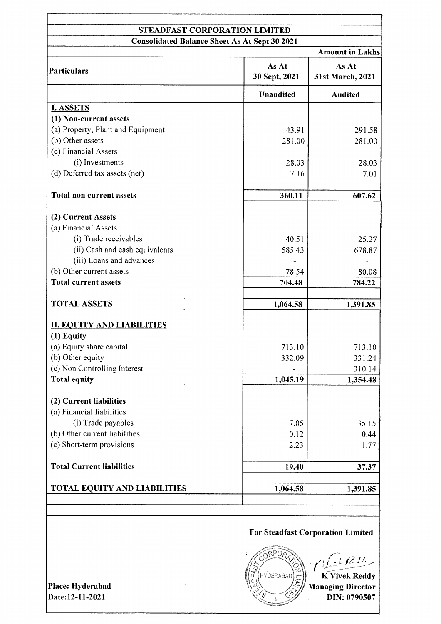#### STEADFAST CORPORATION LIMITED Consolidated Balance Sheet As At Sept 30 2021

| Consonuattu Dalaitti Biltti As At Bept 90 Z021 |                        | <b>Amount in Lakhs</b>    |  |
|------------------------------------------------|------------------------|---------------------------|--|
| Particulars                                    | As At<br>30 Sept, 2021 | As At<br>31st March, 2021 |  |
|                                                | <b>Unaudited</b>       | <b>Audited</b>            |  |
| <b>I. ASSETS</b>                               |                        |                           |  |
| (1) Non-current assets                         |                        |                           |  |
| (a) Property, Plant and Equipment              | 43.91                  | 291.58                    |  |
| (b) Other assets                               | 281.00                 | 281.00                    |  |
| (c) Financial Assets                           |                        |                           |  |
| (i) Investments                                | 28.03                  | 28.03                     |  |
| (d) Deferred tax assets (net)                  | 7.16                   | 7.01                      |  |
| <b>Total non current assets</b>                | 360.11                 | 607.62                    |  |
| (2) Current Assets                             |                        |                           |  |
| (a) Financial Assets                           |                        |                           |  |
| (i) Trade receivables                          | 40.51                  | 25.27                     |  |
| (ii) Cash and cash equivalents                 | 585.43                 | 678.87                    |  |
| (iii) Loans and advances                       |                        |                           |  |
| (b) Other current assets                       | 78.54                  | 80.08                     |  |
| <b>Total current assets</b>                    | 704.48                 | 784.22                    |  |
| <b>TOTAL ASSETS</b>                            | 1,064.58               | 1,391.85                  |  |
|                                                |                        |                           |  |
| <b>II. EQUITY AND LIABILITIES</b>              |                        |                           |  |
| $(1)$ Equity                                   |                        |                           |  |
| (a) Equity share capital                       | 713.10                 | 713.10                    |  |
| (b) Other equity                               | 332.09                 | 331.24                    |  |
| (c) Non Controlling Interest                   |                        | 310.14                    |  |
| Total equity                                   | 1,045.19               | 1,354.48                  |  |
| (2) Current liabilities                        |                        |                           |  |
| (a) Financial liabilities                      |                        |                           |  |
| (i) Trade payables                             | 17.05                  | 35.15                     |  |
| (b) Other current liabilities                  | 0.12                   | 0.44                      |  |
| (c) Short-term provisions                      | 2.23                   | 1.77                      |  |
| <b>Total Current liabilities</b>               | 19.40                  | 37.37                     |  |
|                                                |                        |                           |  |
| <b>TOTAL EQUITY AND LIABILITIES</b>            | 1,064.58               | 1,391.85                  |  |
|                                                |                        |                           |  |

## For Steadfast Corporation Limited

ORPOR  $t R H_2$ **K** Vivek Reddy iJYDERABAD Managing Director DIN: 0790507

Place: Hyderabad Date:12-11-2021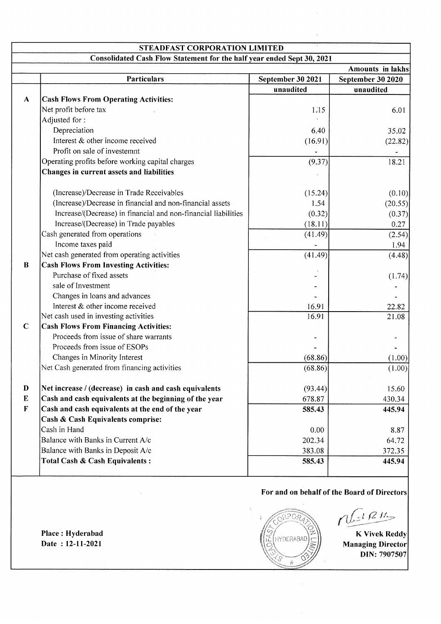| STEADFAST CORPORATION LIMITED |                                                                        |                   |                                             |  |
|-------------------------------|------------------------------------------------------------------------|-------------------|---------------------------------------------|--|
|                               | Consolidated Cash Flow Statement for the half year ended Sept 30, 2021 |                   |                                             |  |
|                               |                                                                        |                   | <b>Amounts in lakhs</b>                     |  |
|                               | <b>Particulars</b>                                                     | September 30 2021 | September 30 2020                           |  |
|                               |                                                                        | unaudited         | unaudited                                   |  |
| $\mathbf{A}$                  | <b>Cash Flows From Operating Activities:</b>                           |                   |                                             |  |
|                               | Net profit before tax                                                  | 1.15              | 6.01                                        |  |
|                               | Adjusted for:                                                          |                   |                                             |  |
|                               | Depreciation                                                           | 6.40              | 35.02                                       |  |
|                               | Interest & other income received                                       | (16.91)           | (22.82)                                     |  |
|                               | Profit on sale of investemnt                                           |                   |                                             |  |
|                               | Operating profits before working capital charges                       | (9.37)            | 18.21                                       |  |
|                               | Changes in current assets and liabilities                              |                   |                                             |  |
|                               |                                                                        |                   |                                             |  |
|                               | (Increase)/Decrease in Trade Receivables                               | (15.24)           | (0.10)                                      |  |
|                               | (Increase)/Decrease in financial and non-financial assets              | 1.54              | (20.55)                                     |  |
|                               | Increase/(Decrease) in financial and non-financial liabilities         | (0.32)            | (0.37)                                      |  |
|                               | Increase/(Decrease) in Trade payables                                  | (18.11)           | 0.27                                        |  |
|                               | Cash generated from operations                                         | (41.49)           | (2.54)                                      |  |
|                               | Income taxes paid                                                      |                   | 1.94                                        |  |
|                               | Net cash generated from operating activities                           | (41.49)           | (4.48)                                      |  |
| $\bf{B}$                      | <b>Cash Flows From Investing Activities:</b>                           |                   |                                             |  |
|                               | Purchase of fixed assets                                               |                   | (1.74)                                      |  |
|                               | sale of Investment                                                     |                   |                                             |  |
|                               | Changes in loans and advances                                          |                   |                                             |  |
|                               | Interest & other income received                                       | 16.91             | 22.82                                       |  |
|                               | Net cash used in investing activities                                  | 16.91             | 21.08                                       |  |
| $\mathbf C$                   | <b>Cash Flows From Financing Activities:</b>                           |                   |                                             |  |
|                               | Proceeds from issue of share warrants                                  |                   |                                             |  |
|                               | Proceeds from issue of ESOPs                                           |                   |                                             |  |
|                               | Changes in Minority Interest                                           | (68.86)           | (1.00)                                      |  |
|                               | Net Cash generated from financing activities                           | (68.86)           | (1.00)                                      |  |
| D                             | Net increase / (decrease) in cash and cash equivalents                 |                   |                                             |  |
| ${\bf E}$                     |                                                                        | (93.44)           | 15.60                                       |  |
|                               | Cash and cash equivalents at the beginning of the year                 | 678.87            | 430.34                                      |  |
| F                             | Cash and cash equivalents at the end of the year                       | 585.43            | 445.94                                      |  |
|                               | Cash & Cash Equivalents comprise:                                      |                   |                                             |  |
|                               | Cash in Hand                                                           | 0.00              | 8.87                                        |  |
|                               | Balance with Banks in Current A/c                                      | 202.34            | 64.72                                       |  |
|                               | Balance with Banks in Deposit A/c                                      | 383.08            | 372.35                                      |  |
|                               | Total Cash & Cash Equivalents:                                         | 585.43            | 445.94                                      |  |
|                               |                                                                        |                   | For and on behalf of the Board of Directors |  |
|                               |                                                                        |                   | $dF^{\{R\}}$                                |  |

K Vivek Reddy Managing Director DIN: 7907507

AS

Ć  $\frac{1}{2K}$ 

Place: Hyderabad Date : l2-ll-202l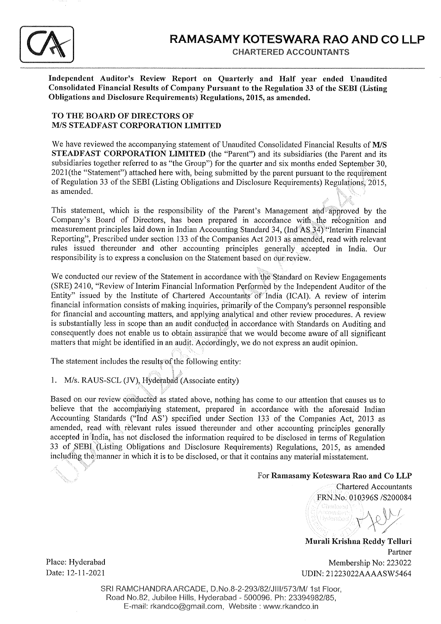

Independent Auditor's Review Report on Quarterly and Half year ended Unaudited<br>Consolidated Financial Results of Company Pursuant to the Regulation 33 of the SEBI (Listing Obligations and Disclosure Requirements) Regulations, 2015, as amended.

#### TO THE BOARD OF DIRECTORS OF M/S STEADFAST CORPORATION LIMITED

We have reviewed the accompanying statement of Unaudited Consolidated Financial Results of M/S STEADFAST CORPORATION LIMITED (the "Parent") and its subsidiaries (the Parent and its subsidiaries together referred to as "the Group") for the quarter and six months ended September 30, 2021(the "Statement") attached here with, being submitted by the parent pursuant to the requirement of Regulation 33 of the SEBI (Listing Obligations and Disclosure Requirements) Regulations; 2015<br>as amended.

This statement, which is the responsibility of the Parent's Management and approved by the Company's Board of Directors, has been prepared in accordance with the recognition and measurement principles laid down in Indian Accounting Standard 34, (Ind AS 34) "Interim Financial Reporting", Prescribed under section 133 of the Companies Act 2013 as amended, read with relevant rules issued thereunder and other accounting principles generally. accepted in India. Our responsibility is to express a conclusion on the Statement based on our review.

We conducted our review of the Statement in accordance with the Standard on Review Engagements (SRE) 2410, "Review of Interim Financial Information Performbd by the Independent Auditor of the Entity" issued by the Institute of Chartered Accountants'of 'India (ICAI). A review of interim financial information consists of making inquiries, primarily of the Company's personnel responsible for financial and accounting matters, and applying analytical and other review procedures. A review is substantially less in scope than an audit conducted in accordance with Standards on Auditing and consequently does not enable us to obtain assurance that we would become aware of all significant matters that might be identified in an audit. Accordingly, we do not express an audit opinion.

\: The statement includes the results'of the following entity:

1. M/s. RAUS-SCL (JV), Hyderabad (Associate entity)

t.. :-

Based on our review conducted as stated above, nothing has come to our attention that causes us to believe that the accompanying statement, prepared in accordance with the aforesaid Indian Accounting Standards ("Ind AS') specified under Section 133 of the Companies Act, 2013 as amended, read with relevant rules issued thereunder and other accounting principles generally accepted in India, has not disclosed the information required to be disclosed in terms of Regulation 33 of SEBI. (Listing Obligations and Disclosure Requirements) Regulations, 2015, as amended including the manner in which it is to be disclosed, or that it contains any material misstatement.

### For Ramasamy Koteswara Rao and Co LLP

FRN.No. 010396S /S200084 Diartoroc

Chartered Accountants

Murali Krishna Reddy Telluri Partner Place: Hyderabad Membership No: 223022 Date: 12-11-2021 UDIN: 21223022AAAASW5464

SRI RAMCHANDRA ARCADE, D.No.8-2-293/82/JIII/573/M/ 1st Floor, Road No.B2, Jubilee Hills, Hyderabad - 500096. Ph: 23394982185, E-mail: rkandco@gmail.com, Website : www.rkandco.in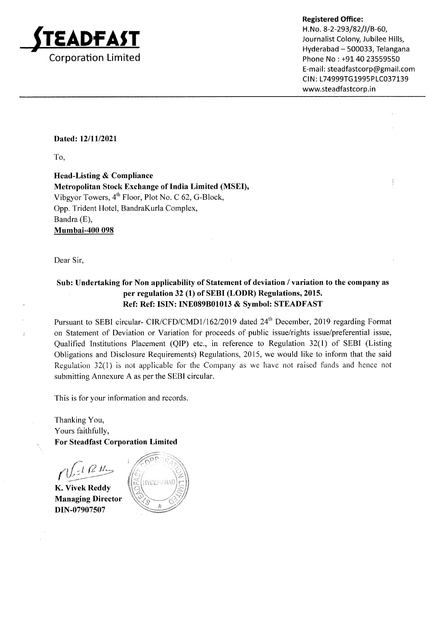

Phone No : +91 40 23559550 E-mail: steadfastcorp@gmail.com CIN: L74999TG1995PLC037139 www.steadfastcorp.in

### Dated: 12/11/2021

To,

Head-Listing & Compliance Metropolitan Stock Exchange of India Limited (MSEI), Vibgyor Towers,  $4<sup>th</sup>$  Floor, Plot No. C 62, G-Block, Opp. Trident Hotel, BandraKurla Complex, Bandra (E), Mumbai-400 098

Dear Sir,

 $\mathbf{r}$ 

## Sub: Undertaking for Non applicability of Statement of deviation / variation to the company as per regulation 32 (1) of SEBI (LODR) Regulations,2015. Ref: Ref: ISIN: INE089801013 & Symbol: STEADFAST

Pursuant to SEBI circular- CIR/CFD/CMD1/162/2019 dated 24<sup>th</sup> December, 2019 regarding Format on Statement of Deviation or Variation for proceeds of public issue/rights issue/preferential issue, Qualified Institutions Placement (QIP) etc., in reference to Regulation 32(l) of SEBI (Listing Obligations and Disclosure Requirements) Regulations,2015, we would like to inform that the said Regulation 32(l) is not applicable for the Company as we have not raised funds and hence not submitting Annexure A as per the SEBI circular.

This is for your information and records

Thanking You, Yours faithfully, For Steadfast Corporation Limited

 $_{t}$   $_{\mathcal{C}}$   $_{\mathcal{U}}$ 

K. Vivek Reddy Managing Director DIN-07907507

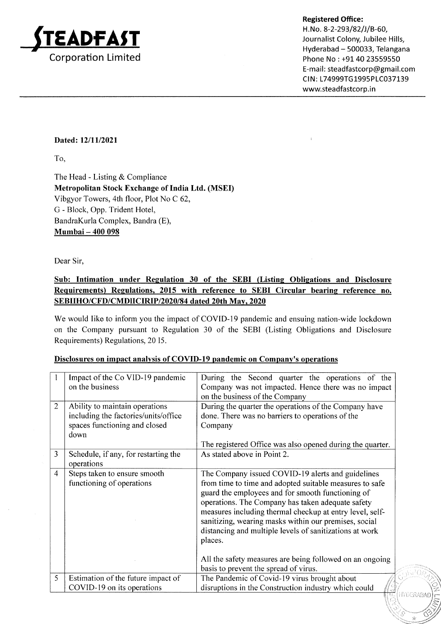

H. No. 8-2-293/82/J/B-60, Journalist Colony, Jubilee Hills, Hyderabad - 500033, Telangana Phone No : +91 40 23559550 E-mail: steadfastcorp@gmail.com CIN: L74999TG1995PLC037139 www.steadfastcorp.in

**LYDERABAD** 

)t

## Dated: l2/ll/2021

To,

The Head - Listing & Compliance Metropolitan Stock Exchange of India Ltd. (MSED Vibgyor Towers, 4th floor, Plot No C 62, G - Block, Opp. Trident Hotel, BandraKurla Complex, Bandra (E), Mumbai - 400 098

Dear Sir,

## Sub: Intimation under Regulation 30 of the SEBI (Listing Obligations and Disclosure Requirements) Requlations. 2015 with reference to SEBI Circular bearing reference no. SEBIIHO/CFD/CMDIICIRIP/2020/84 dated 20th Mav. 2020

We would like to inform you the impact of COVID-19 pandemic and ensuing nation-wide lockdown on the Company pursuant to Regulation 30 of the SEBI (Listing Obligations and Disclosure Requirements) Regulations, 20 15.

| 1              | Impact of the Co VID-19 pandemic     | During the Second quarter the operations of the           |
|----------------|--------------------------------------|-----------------------------------------------------------|
|                | on the business                      | Company was not impacted. Hence there was no impact       |
|                |                                      | on the business of the Company                            |
| $\overline{2}$ | Ability to maintain operations       | During the quarter the operations of the Company have     |
|                | including the factories/units/office | done. There was no barriers to operations of the          |
|                | spaces functioning and closed        | Company                                                   |
|                | down                                 |                                                           |
|                |                                      | The registered Office was also opened during the quarter. |
| 3              | Schedule, if any, for restarting the | As stated above in Point 2.                               |
|                | operations                           |                                                           |
| 4              | Steps taken to ensure smooth         | The Company issued COVID-19 alerts and guidelines         |
|                | functioning of operations            | from time to time and adopted suitable measures to safe   |
|                |                                      | guard the employees and for smooth functioning of         |
|                |                                      | operations. The Company has taken adequate safety         |
|                |                                      | measures including thermal checkup at entry level, self-  |
|                |                                      | sanitizing, wearing masks within our premises, social     |
|                |                                      | distancing and multiple levels of sanitizations at work   |
|                |                                      | places.                                                   |
|                |                                      |                                                           |
|                |                                      | All the safety measures are being followed on an ongoing  |
|                |                                      | basis to prevent the spread of virus.                     |
| 5              | Estimation of the future impact of   | The Pandemic of Covid-19 virus brought about              |
|                | COVID-19 on its operations           | disruptions in the Construction industry which could      |
|                |                                      |                                                           |

### Disclosures on imnact analvsis of COVID-19 pandemic on Company's operations